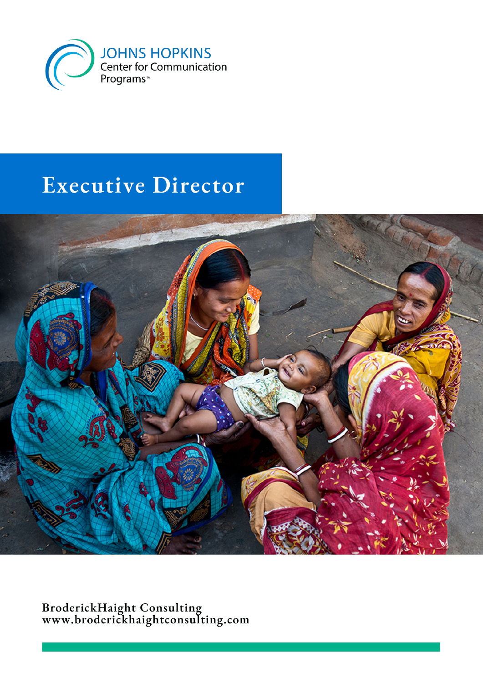

# **Executive Director**



**BroderickHaight Consulting www.broderickhaightconsulting.com**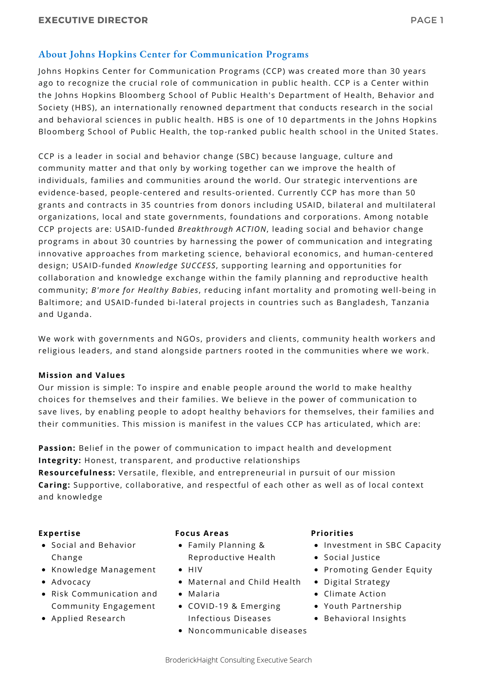# **About Johns Hopkins Center for Communication Programs**

Johns Hopkins Center for Communication Programs (CCP) was created more than 30 years ago to recognize the crucial role of communication in public health. CCP is a Center within the Johns Hopkins Bloomberg School of Public Health's Department of Health, Behavior and Society (HBS), an internationally renowned department that conducts research in the social and behavioral sciences in public health. HBS is one of 10 departments in the Johns Hopkins Bloomberg School of Public Health, the top-ranked public health school in the United States.

CCP is a leader in social and behavior change (SBC) because language, culture and community matter and that only by working together can we improve the health of individuals, families and communities around the world. Our strategic interventions are evidence-based, people-centered and results-oriented. Currently CCP has more than 50 grants and contracts in 35 countries from donors including USAID, bilateral and multilateral organizations, local and state governments, foundations and corporations. Among notable CCP projects are: USAID-funded *Breakthrough ACTION*, leading social and behavior change programs in about 30 countries by harnessing the power of communication and integrating innovative approaches from marketing science, behavioral economics, and human-centered design; USAID-funded *Knowledge SUCCESS*, supporting learning and opportunities for collaboration and knowledge exchange within the family planning and reproductive health community; *B'more for Healthy Babies*, reducing infant mortality and promoting well-being in Baltimore; and USAID-funded bi-lateral projects in countries such as Bangladesh, Tanzania and Uganda.

We work with governments and NGOs, providers and clients, community health workers and religious leaders, and stand alongside partners rooted in the communities where we work.

#### **Mission and Values**

Our mission is simple: To inspire and enable people around the world to make healthy choices for themselves and their families. We believe in the power of communication to save lives, by enabling people to adopt healthy behaviors for themselves, their families and their communities. This mission is manifest in the values CCP has articulated, which are:

**Passion:** Belief in the power of communication to impact health and development **Integrity:** Honest, transparent, and productive relationships

**Resourcefulness:** Versatile, flexible, and entrepreneurial in pursuit of our mission **Caring:** Supportive, collaborative, and respectful of each other as well as of local context and knowledge

#### **Expertise**

- Social and Behavior Change
- Knowledge Management
- Advocacy
- Risk Communication and Community Engagement
- Applied Research

#### **Focus Areas**

- Family Planning & Reproductive Health
- $\bullet$  HIV
- Maternal and Child Health
- Malaria
- COVID-19 & Emerging Infectious Diseases
- Noncommunicable diseases

#### **Priorities**

- Investment in SBC Capacity
- Social Justice
- Promoting Gender Equity
- Digital Strategy
- Climate Action
- Youth Partnership
- Behavioral Insights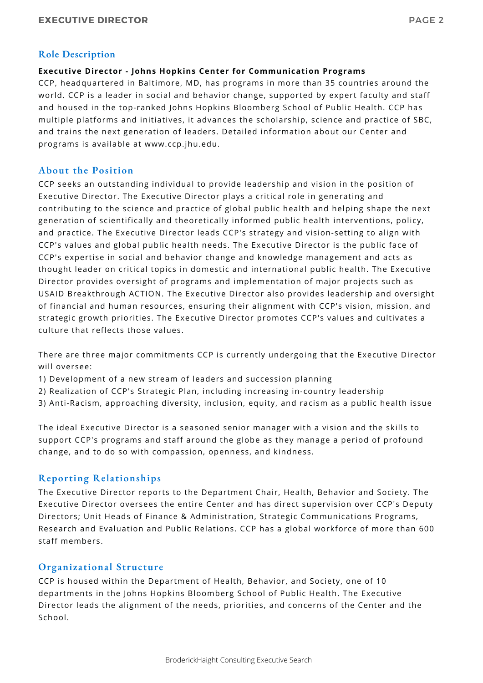## **Role Description**

## **Executive Director - Johns Hopkins Center for Communication Programs**

CCP, headquartered in Baltimore, MD, has programs in more than 35 countries around the world. CCP is a leader in social and behavior change, supported by expert faculty and staff and housed in the top-ranked Johns Hopkins Bloomberg School of Public Health. CCP has multiple platforms and initiatives, it advances the scholarship, science and practice of SBC, and trains the next generation of leaders. Detailed information about our Center and programs is available at www.ccp.jhu.edu.

## **About the Position**

CCP seeks an outstanding individual to provide leadership and vision in the position of Executive Director. The Executive Director plays a critical role in generating and contributing to the science and practice of global public health and helping shape the next generation of scientifically and theoretically informed public health interventions, policy, and practice. The Executive Director leads CCP's strategy and vision-setting to align with CCP's values and global public health needs. The Executive Director is the public face of CCP's expertise in social and behavior change and knowledge management and acts as thought leader on critical topics in domestic and international public health. The Executive Director provides oversight of programs and implementation of major projects such as USAID Breakthrough ACTION. The Executive Director also provides leadership and oversight of financial and human resources, ensuring their alignment with CCP's vision, mission, and strategic growth priorities. The Executive Director promotes CCP's values and cultivates a culture that reflects those values.

There are three major commitments CCP is currently undergoing that the Executive Director will oversee:

- 1) Development of a new stream of leaders and succession planning
- 2) Realization of CCP's Strategic Plan, including increasing in-country leadership
- 3) Anti-Racism, approaching diversity, inclusion, equity, and racism as a public health issue

The ideal Executive Director is a seasoned senior manager with a vision and the skills to support CCP's programs and staff around the globe as they manage a period of profound change, and to do so with compassion, openness, and kindness.

## **Reporting Relationships**

The Executive Director reports to the Department Chair, Health, Behavior and Society. The Executive Director oversees the entire Center and has direct supervision over CCP's Deputy Directors; Unit Heads of Finance & Administration, Strategic Communications Programs, Research and Evaluation and Public Relations. CCP has a global workforce of more than 600 staff members.

## **Organizational Structure**

CCP is housed within the Department of Health, Behavior, and Society, one of 10 departments in the Johns Hopkins Bloomberg School of Public Health. The Executive Director leads the alignment of the needs, priorities, and concerns of the Center and the School.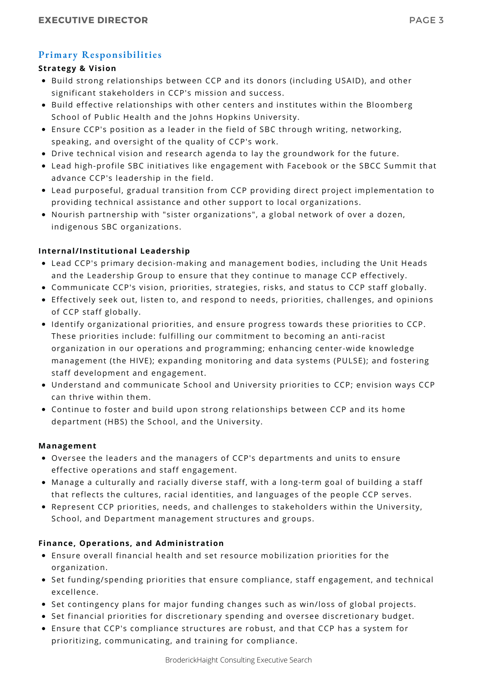# **Primary Responsibilities**

## **Strategy & Vision**

- Build strong relationships between CCP and its donors (including USAID), and other significant stakeholders in CCP's mission and success.
- Build effective relationships with other centers and institutes within the Bloomberg School of Public Health and the Johns Hopkins University.
- Ensure CCP's position as a leader in the field of SBC through writing, networking, speaking, and oversight of the quality of CCP's work.
- Drive technical vision and research agenda to lay the groundwork for the future.
- Lead high-profile SBC initiatives like engagement with Facebook or the SBCC Summit that advance CCP's leadership in the field.
- Lead purposeful, gradual transition from CCP providing direct project implementation to providing technical assistance and other support to local organizations.
- Nourish partnership with "sister organizations", a global network of over a dozen, indigenous SBC organizations.

#### **Internal/Institutional Leadership**

- Lead CCP's primary decision-making and management bodies, including the Unit Heads and the Leadership Group to ensure that they continue to manage CCP effectively.
- Communicate CCP's vision, priorities, strategies, risks, and status to CCP staff globally.
- Effectively seek out, listen to, and respond to needs, priorities, challenges, and opinions of CCP staff globally.
- Identify organizational priorities, and ensure progress towards these priorities to CCP. These priorities include: fulfilling our commitment to becoming an anti-racist organization in our operations and programming; enhancing center-wide knowledge management (the HIVE); expanding monitoring and data systems (PULSE); and fostering staff development and engagement.
- Understand and communicate School and University priorities to CCP; envision ways CCP can thrive within them.
- Continue to foster and build upon strong relationships between CCP and its home department (HBS) the School, and the University.

#### **Management**

- Oversee the leaders and the managers of CCP's departments and units to ensure effective operations and staff engagement.
- Manage a culturally and racially diverse staff, with a long-term goal of building a staff that reflects the cultures, racial identities, and languages of the people CCP serves.
- Represent CCP priorities, needs, and challenges to stakeholders within the University, School, and Department management structures and groups.

## **Finance, Operations, and Administration**

- Ensure overall financial health and set resource mobilization priorities for the organization.
- Set funding/spending priorities that ensure compliance, staff engagement, and technical excellence.
- Set contingency plans for major funding changes such as win/loss of global projects.
- **Set financial priorities for discretionary spending and oversee discretionary budget.**
- Ensure that CCP's compliance structures are robust, and that CCP has a system for prioritizing, communicating, and training for compliance.